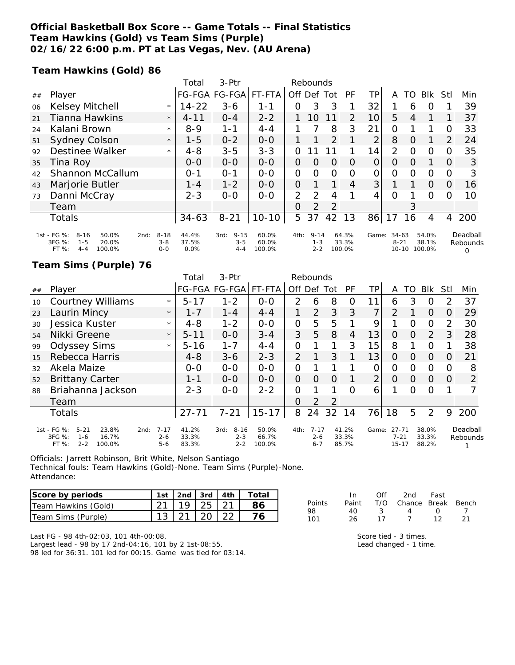### **Official Basketball Box Score -- Game Totals -- Final Statistics Team Hawkins (Gold) vs Team Sims (Purple) 02/16/22 6:00 p.m. PT at Las Vegas, Nev. (AU Arena)**

**Team Hawkins (Gold) 86**

|    |                                                                                                      |                                | Total                  | $3-Ptr$                                | Rebounds                 |                |                                |          |                          |                   |                                |          |                          |                |                           |
|----|------------------------------------------------------------------------------------------------------|--------------------------------|------------------------|----------------------------------------|--------------------------|----------------|--------------------------------|----------|--------------------------|-------------------|--------------------------------|----------|--------------------------|----------------|---------------------------|
| ## | Player                                                                                               |                                |                        | FG-FGA FG-FGA FT-FTA                   |                          |                | Off Def                        | Tot      | PF                       | TР                | A                              | TO       | <b>BIK</b>               | Stll           | Min                       |
| 06 | Kelsey Mitchell                                                                                      | $\star$                        | $14 - 22$              | $3 - 6$                                | $1 - 1$                  | 0              | 3                              |          |                          | 32                |                                | 6        | 0                        |                | 39                        |
| 21 | Tianna Hawkins                                                                                       | $\star$                        | $4 - 11$               | $O - 4$                                | $2 - 2$                  |                | 10                             | 11       | $\overline{2}$           | 10                | 5                              | 4        |                          | 1              | 37                        |
| 24 | Kalani Brown                                                                                         | $\star$                        | $8 - 9$                | 1-1                                    | $4 - 4$                  |                |                                | 8        | 3                        | 21                | 0                              |          |                          | O              | 33                        |
| 51 | <b>Sydney Colson</b>                                                                                 | $\star$                        | $1 - 5$                | $0 - 2$                                | $0 - 0$                  |                |                                | 2        |                          | $\overline{2}$    | 8                              | $\Omega$ |                          | $\overline{2}$ | 24                        |
| 92 | Destinee Walker                                                                                      | $\star$                        | $4 - 8$                | $3 - 5$                                | $3 - 3$                  | 0              |                                |          |                          | 14                | 2                              | $\Omega$ | $\Omega$                 | 0              | 35                        |
| 35 | Tina Roy                                                                                             |                                | $0 - 0$                | $O-O$                                  | $0 - 0$                  | 0              | $\Omega$                       | $\Omega$ | $\Omega$                 | $\Omega$          | $\Omega$                       | $\Omega$ |                          | 0              | 3                         |
| 42 | Shannon McCallum                                                                                     |                                | $O - 1$                | $O - 1$                                | $0 - 0$                  | 0              | $\Omega$                       | $\Omega$ | $\Omega$                 | $\mathcal{O}$     | $\Omega$                       | $\Omega$ | $\Omega$                 | 0              | 3                         |
| 43 | Marjorie Butler                                                                                      |                                | $1 - 4$                | $1 - 2$                                | $0 - 0$                  | $\Omega$       |                                |          | 4                        | $\lvert 3 \rvert$ |                                |          | $\Omega$                 | $\overline{O}$ | 16                        |
| 73 | Danni McCray                                                                                         |                                | $2 - 3$                | $0 - 0$                                | $0 - 0$                  | $\overline{2}$ | 2                              | 4        |                          | 4                 | $\Omega$                       |          | $\Omega$                 | 0              | 10                        |
|    | Team                                                                                                 |                                |                        |                                        |                          | $\Omega$       | 2                              |          |                          |                   |                                | 3        |                          |                |                           |
|    | Totals                                                                                               |                                | $34 - 63$              | $8 - 21$                               | $10 - 10$                | 5              | 37                             | 42       | 13                       | 86                | 17                             | 16       | 4                        | $\overline{4}$ | 200                       |
|    | 1st - FG %:<br>$8 - 16$<br>50.0%<br>2nd:<br>3FG %:<br>20.0%<br>$1 - 5$<br>$4 - 4$<br>100.0%<br>FT %: | $8 - 18$<br>$3 - 8$<br>$0 - 0$ | 44.4%<br>37.5%<br>0.0% | $9 - 15$<br>3rd:<br>$3 - 5$<br>$4 - 4$ | 60.0%<br>60.0%<br>100.0% | 4th:           | $9 - 14$<br>$1 - 3$<br>$2 - 2$ |          | 64.3%<br>33.3%<br>100.0% | Game:             | 34-63<br>$8 - 21$<br>$10 - 10$ |          | 54.0%<br>38.1%<br>100.0% |                | Deadball<br>Rebounds<br>Ω |

### **Team Sims (Purple) 76**

|    |                                                                                                      |                                | Total                   | $3-$ Ptr                               | Rebounds                 |                |                                |                |                         |                |                                    |          |                         |          |                      |
|----|------------------------------------------------------------------------------------------------------|--------------------------------|-------------------------|----------------------------------------|--------------------------|----------------|--------------------------------|----------------|-------------------------|----------------|------------------------------------|----------|-------------------------|----------|----------------------|
| ## | Player                                                                                               |                                |                         | FG-FGA FG-FGA                          | FT-FTA                   | Off            | Def                            | Tot            | PF                      | ТP             | A                                  | TO       | <b>Blk</b>              | StII     | Min                  |
| 10 | <b>Courtney Williams</b>                                                                             | $\star$                        | $5 - 17$                | $1 - 2$                                | $0-0$                    | 2              | 6                              | 8              | Ο                       | 11             | 6                                  | 3        | O                       | 2        | 37                   |
| 23 | Laurin Mincy                                                                                         | $\star$                        | $1 - 7$                 | $1 - 4$                                | $4 - 4$                  |                | 2                              | 3 <sup>1</sup> | 3                       | 7              | 2                                  |          | $\Omega$                | $\Omega$ | 29                   |
| 30 | Jessica Kuster                                                                                       | $\star$                        | $4 - 8$                 | $1 - 2$                                | $0 - 0$                  | $\mathcal{O}$  | 5                              | 5              |                         | 9              |                                    | O        | $\overline{O}$          | 2        | 30                   |
| 54 | Nikki Greene                                                                                         | $\star$                        | $5 - 11$                | $0 - 0$                                | $3 - 4$                  | 3              | 5                              | 8              | 4                       | 13             | $\Omega$                           | $\Omega$ | 2                       | 3        | 28                   |
| 99 | <b>Odyssey Sims</b>                                                                                  | $\star$                        | $5 - 16$                | $1 - 7$                                | $4 - 4$                  | O              |                                | 1              | 3                       | 15             | 8                                  |          | 0                       |          | 38                   |
| 15 | Rebecca Harris                                                                                       |                                | $4 - 8$                 | $3 - 6$                                | $2 - 3$                  | $\overline{2}$ |                                | 3              |                         | 13             | $\Omega$                           | $\Omega$ | $\Omega$                | O        | 21                   |
| 32 | Akela Maize                                                                                          |                                | $0-0$                   | $0 - 0$                                | $0-0$                    | $\mathcal{O}$  |                                |                |                         | 0              | O                                  | 0        | $\Omega$                | O        | 8                    |
| 52 | <b>Brittany Carter</b>                                                                               |                                | 1-1                     | $0-0$                                  | $0 - 0$                  | $\overline{O}$ | $\Omega$                       | 0              |                         | $\overline{2}$ | $\Omega$                           | 0        | $\Omega$                | 0        | $\overline{2}$       |
| 88 | Briahanna Jackson                                                                                    |                                | $2 - 3$                 | $0 - 0$                                | $2 - 2$                  | O              |                                |                | Ω                       | 6              |                                    | ∩        | $\Omega$                |          |                      |
|    | Team                                                                                                 |                                |                         |                                        |                          | $\Omega$       | 2                              | $\overline{2}$ |                         |                |                                    |          |                         |          |                      |
|    | Totals                                                                                               |                                | $27 - 71$               | $7 - 21$                               | $15 - 17$                | 8              | 24                             | 32             | 14                      | 76             | 18                                 | 5        | 2                       | 9        | 200                  |
|    | 1st - FG %:<br>$5 - 21$<br>23.8%<br>2nd:<br>3FG %:<br>16.7%<br>$1 - 6$<br>$2 - 2$<br>100.0%<br>FT %: | $7 - 17$<br>$2 - 6$<br>$5 - 6$ | 41.2%<br>33.3%<br>83.3% | $8 - 16$<br>3rd:<br>$2 - 3$<br>$2 - 2$ | 50.0%<br>66.7%<br>100.0% | 4th:           | $7 - 17$<br>$2 - 6$<br>$6 - 7$ |                | 41.2%<br>33.3%<br>85.7% | Game:          | $27 - 71$<br>$7 - 21$<br>$15 - 17$ |          | 38.0%<br>33.3%<br>88.2% |          | Deadball<br>Rebounds |

Officials: Jarrett Robinson, Brit White, Nelson Santiago Technical fouls: Team Hawkins (Gold)-None. Team Sims (Purple)-None. Attendance:

| Score by periods    |                              |  | 1st   2nd   3rd   4th   Total |
|---------------------|------------------------------|--|-------------------------------|
| Team Hawkins (Gold) | $21 \mid 19 \mid 25 \mid 21$ |  |                               |
| Team Sims (Purple)  | $13 \mid 21 \mid 20 \mid 22$ |  |                               |

|               | In.   | ∩ff | 2nd                    | Fast             |    |
|---------------|-------|-----|------------------------|------------------|----|
| <b>Points</b> | Paint |     | T/O Chance Break Bench |                  |    |
| 98.           | 40.   | -3  | 4                      | $\left( \right)$ |    |
| 101           | 26    | 17  |                        | 12               | 21 |

Last FG - 98 4th-02:03, 101 4th-00:08. Largest lead - 98 by 17 2nd-04:16, 101 by 2 1st-08:55. 98 led for 36:31. 101 led for 00:15. Game was tied for 03:14. Score tied - 3 times. Lead changed - 1 time.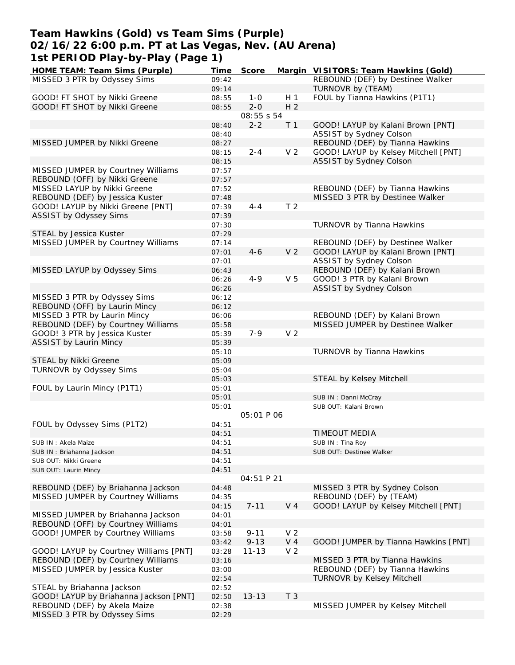### **Team Hawkins (Gold) vs Team Sims (Purple) 02/16/22 6:00 p.m. PT at Las Vegas, Nev. (AU Arena) 1st PERIOD Play-by-Play (Page 1)**

| HOME TEAM: Team Sims (Purple)          | Time  | Score             |                | Margin VISITORS: Team Hawkins (Gold) |
|----------------------------------------|-------|-------------------|----------------|--------------------------------------|
| MISSED 3 PTR by Odyssey Sims           | 09:42 |                   |                | REBOUND (DEF) by Destinee Walker     |
|                                        | 09:14 |                   |                | TURNOVR by (TEAM)                    |
| GOOD! FT SHOT by Nikki Greene          | 08:55 | $1 - 0$           | H <sub>1</sub> | FOUL by Tianna Hawkins (P1T1)        |
| GOOD! FT SHOT by Nikki Greene          | 08:55 | $2 - 0$           | H <sub>2</sub> |                                      |
|                                        |       | 08:55 s 54        |                |                                      |
|                                        | 08:40 | $2 - 2$           | T <sub>1</sub> | GOOD! LAYUP by Kalani Brown [PNT]    |
|                                        | 08:40 |                   |                | ASSIST by Sydney Colson              |
| MISSED JUMPER by Nikki Greene          | 08:27 |                   |                | REBOUND (DEF) by Tianna Hawkins      |
|                                        | 08:15 | $2 - 4$           | V <sub>2</sub> | GOOD! LAYUP by Kelsey Mitchell [PNT] |
|                                        | 08:15 |                   |                | ASSIST by Sydney Colson              |
| MISSED JUMPER by Courtney Williams     | 07:57 |                   |                |                                      |
| REBOUND (OFF) by Nikki Greene          | 07:57 |                   |                |                                      |
| MISSED LAYUP by Nikki Greene           | 07:52 |                   |                | REBOUND (DEF) by Tianna Hawkins      |
|                                        |       |                   |                |                                      |
| REBOUND (DEF) by Jessica Kuster        | 07:48 |                   |                | MISSED 3 PTR by Destinee Walker      |
| GOOD! LAYUP by Nikki Greene [PNT]      | 07:39 | $4 - 4$           | T <sub>2</sub> |                                      |
| ASSIST by Odyssey Sims                 | 07:39 |                   |                |                                      |
|                                        | 07:30 |                   |                | TURNOVR by Tianna Hawkins            |
| STEAL by Jessica Kuster                | 07:29 |                   |                |                                      |
| MISSED JUMPER by Courtney Williams     | 07:14 |                   |                | REBOUND (DEF) by Destinee Walker     |
|                                        | 07:01 | $4 - 6$           | V <sub>2</sub> | GOOD! LAYUP by Kalani Brown [PNT]    |
|                                        | 07:01 |                   |                | <b>ASSIST by Sydney Colson</b>       |
| MISSED LAYUP by Odyssey Sims           | 06:43 |                   |                | REBOUND (DEF) by Kalani Brown        |
|                                        | 06:26 | $4 - 9$           | V <sub>5</sub> | GOOD! 3 PTR by Kalani Brown          |
|                                        | 06:26 |                   |                | ASSIST by Sydney Colson              |
| MISSED 3 PTR by Odyssey Sims           | 06:12 |                   |                |                                      |
| REBOUND (OFF) by Laurin Mincy          | 06:12 |                   |                |                                      |
| MISSED 3 PTR by Laurin Mincy           | 06:06 |                   |                | REBOUND (DEF) by Kalani Brown        |
| REBOUND (DEF) by Courtney Williams     | 05:58 |                   |                | MISSED JUMPER by Destinee Walker     |
| GOOD! 3 PTR by Jessica Kuster          | 05:39 | $7 - 9$           | V <sub>2</sub> |                                      |
| ASSIST by Laurin Mincy                 | 05:39 |                   |                |                                      |
|                                        | 05:10 |                   |                | TURNOVR by Tianna Hawkins            |
| STEAL by Nikki Greene                  | 05:09 |                   |                |                                      |
| TURNOVR by Odyssey Sims                | 05:04 |                   |                |                                      |
|                                        | 05:03 |                   |                | STEAL by Kelsey Mitchell             |
| FOUL by Laurin Mincy (P1T1)            | 05:01 |                   |                |                                      |
|                                        |       |                   |                |                                      |
|                                        | 05:01 |                   |                | SUB IN: Danni McCray                 |
|                                        | 05:01 |                   |                | SUB OUT: Kalani Brown                |
|                                        |       | <i>05:01 P 06</i> |                |                                      |
| FOUL by Odyssey Sims (P1T2)            | 04:51 |                   |                |                                      |
|                                        | 04:51 |                   |                | <b>TIMEOUT MEDIA</b>                 |
| SUB IN: Akela Maize                    | 04:51 |                   |                | SUB IN: Tina Roy                     |
| SUB IN: Briahanna Jackson              | 04:51 |                   |                | SUB OUT: Destinee Walker             |
| SUB OUT: Nikki Greene                  | 04:51 |                   |                |                                      |
| SUB OUT: Laurin Mincy                  | 04:51 |                   |                |                                      |
|                                        |       | 04:51 P 21        |                |                                      |
| REBOUND (DEF) by Briahanna Jackson     | 04:48 |                   |                | MISSED 3 PTR by Sydney Colson        |
| MISSED JUMPER by Courtney Williams     | 04:35 |                   |                | REBOUND (DEF) by (TEAM)              |
|                                        | 04:15 | $7 - 11$          | $V_4$          | GOOD! LAYUP by Kelsey Mitchell [PNT] |
| MISSED JUMPER by Briahanna Jackson     | 04:01 |                   |                |                                      |
| REBOUND (OFF) by Courtney Williams     | 04:01 |                   |                |                                      |
| GOOD! JUMPER by Courtney Williams      | 03:58 | $9 - 11$          | V <sub>2</sub> |                                      |
|                                        | 03:42 | $9 - 13$          | $V_4$          | GOOD! JUMPER by Tianna Hawkins [PNT] |
| GOOD! LAYUP by Courtney Williams [PNT] | 03:28 | $11 - 13$         | V <sub>2</sub> |                                      |
| REBOUND (DEF) by Courtney Williams     | 03:16 |                   |                | MISSED 3 PTR by Tianna Hawkins       |
| MISSED JUMPER by Jessica Kuster        | 03:00 |                   |                | REBOUND (DEF) by Tianna Hawkins      |
|                                        | 02:54 |                   |                | <b>TURNOVR by Kelsey Mitchell</b>    |
| STEAL by Briahanna Jackson             | 02:52 |                   |                |                                      |
| GOOD! LAYUP by Briahanna Jackson [PNT] | 02:50 | $13 - 13$         | T <sub>3</sub> |                                      |
| REBOUND (DEF) by Akela Maize           |       |                   |                |                                      |
|                                        | 02:38 |                   |                | MISSED JUMPER by Kelsey Mitchell     |
| MISSED 3 PTR by Odyssey Sims           | 02:29 |                   |                |                                      |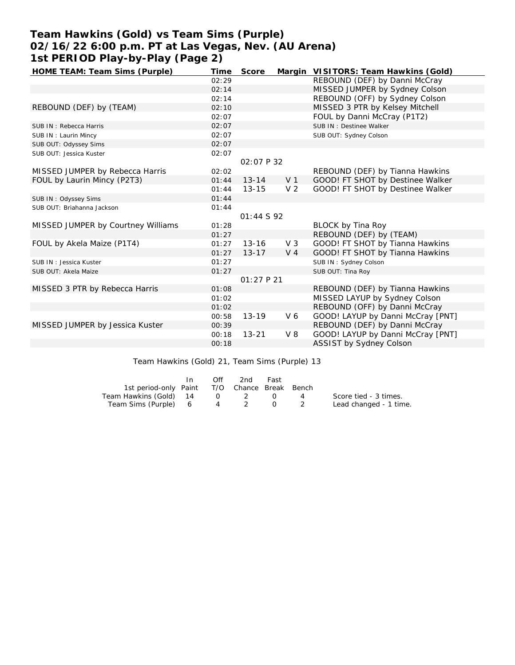# **Team Hawkins (Gold) vs Team Sims (Purple) 02/16/22 6:00 p.m. PT at Las Vegas, Nev. (AU Arena) 1st PERIOD Play-by-Play (Page 2)**

| HOME TEAM: Team Sims (Purple)      | Time  | Score             |                | Margin VISITORS: Team Hawkins (Gold) |
|------------------------------------|-------|-------------------|----------------|--------------------------------------|
|                                    | 02:29 |                   |                | REBOUND (DEF) by Danni McCray        |
|                                    | 02:14 |                   |                | MISSED JUMPER by Sydney Colson       |
|                                    | 02:14 |                   |                | REBOUND (OFF) by Sydney Colson       |
| REBOUND (DEF) by (TEAM)            | 02:10 |                   |                | MISSED 3 PTR by Kelsey Mitchell      |
|                                    | 02:07 |                   |                | FOUL by Danni McCray (P1T2)          |
| SUB IN: Rebecca Harris             | 02:07 |                   |                | SUB IN: Destinee Walker              |
| SUB IN: Laurin Mincy               | 02:07 |                   |                | SUB OUT: Sydney Colson               |
| SUB OUT: Odyssey Sims              | 02:07 |                   |                |                                      |
| SUB OUT: Jessica Kuster            | 02:07 |                   |                |                                      |
|                                    |       | <i>02:07 P 32</i> |                |                                      |
| MISSED JUMPER by Rebecca Harris    | 02:02 |                   |                | REBOUND (DEF) by Tianna Hawkins      |
| FOUL by Laurin Mincy (P2T3)        | 01:44 | $13 - 14$         | V <sub>1</sub> | GOOD! FT SHOT by Destinee Walker     |
|                                    | 01:44 | $13 - 15$         | V <sub>2</sub> | GOOD! FT SHOT by Destinee Walker     |
| SUB IN: Odyssey Sims               | 01:44 |                   |                |                                      |
| SUB OUT: Briahanna Jackson         | 01:44 |                   |                |                                      |
|                                    |       | 01:44S92          |                |                                      |
| MISSED JUMPER by Courtney Williams | 01:28 |                   |                | <b>BLOCK by Tina Roy</b>             |
|                                    | 01:27 |                   |                | REBOUND (DEF) by (TEAM)              |
| FOUL by Akela Maize (P1T4)         | 01:27 | $13 - 16$         | $V_3$          | GOOD! FT SHOT by Tianna Hawkins      |
|                                    | 01:27 | $13 - 17$         | $V_4$          | GOOD! FT SHOT by Tianna Hawkins      |
| SUB IN: Jessica Kuster             | 01:27 |                   |                | SUB IN: Sydney Colson                |
| SUB OUT: Akela Maize               | 01:27 |                   |                | SUB OUT: Tina Roy                    |
|                                    |       | 01:27 P21         |                |                                      |
| MISSED 3 PTR by Rebecca Harris     | 01:08 |                   |                | REBOUND (DEF) by Tianna Hawkins      |
|                                    | 01:02 |                   |                | MISSED LAYUP by Sydney Colson        |
|                                    | 01:02 |                   |                | REBOUND (OFF) by Danni McCray        |
|                                    | 00:58 | $13 - 19$         | V <sub>6</sub> | GOOD! LAYUP by Danni McCray [PNT]    |
| MISSED JUMPER by Jessica Kuster    | 00:39 |                   |                | REBOUND (DEF) by Danni McCray        |
|                                    | 00:18 | $13 - 21$         | $V_8$          | GOOD! LAYUP by Danni McCray [PNT]    |
|                                    | 00:18 |                   |                | ASSIST by Sydney Colson              |
|                                    |       |                   |                |                                      |

Team Hawkins (Gold) 21, Team Sims (Purple) 13

|                                              | $\mathsf{In}$ | Off | 2nd | Fast |                |                        |
|----------------------------------------------|---------------|-----|-----|------|----------------|------------------------|
| 1st period-only Paint T/O Chance Break Bench |               |     |     |      |                |                        |
| Team Hawkins (Gold) 14 0 2 0                 |               |     |     |      | $\overline{a}$ | Score tied - 3 times.  |
| Team Sims (Purple) 6 4 2 0 2                 |               |     |     |      |                | Lead changed - 1 time. |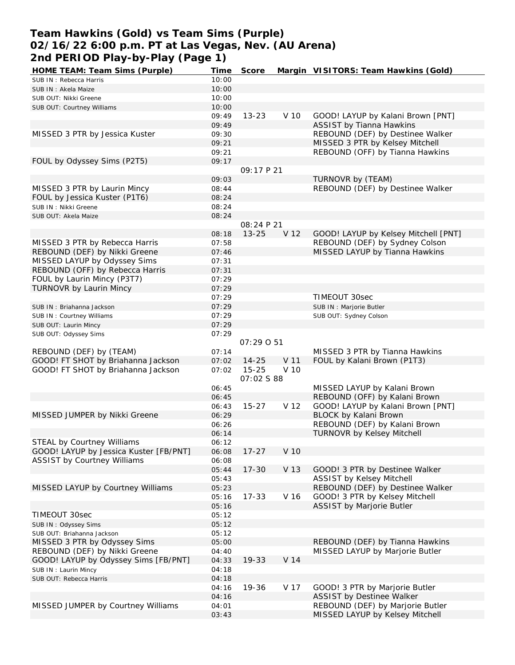### **Team Hawkins (Gold) vs Team Sims (Purple) 02/16/22 6:00 p.m. PT at Las Vegas, Nev. (AU Arena) 2nd PERIOD Play-by-Play (Page 1)**

| HOME TEAM: Team Sims (Purple)          | Time  | Score      |      | Margin VISITORS: Team Hawkins (Gold) |
|----------------------------------------|-------|------------|------|--------------------------------------|
| SUB IN: Rebecca Harris                 | 10:00 |            |      |                                      |
| SUB IN: Akela Maize                    | 10:00 |            |      |                                      |
| SUB OUT: Nikki Greene                  | 10:00 |            |      |                                      |
| SUB OUT: Courtney Williams             | 10:00 |            |      |                                      |
|                                        | 09:49 | $13 - 23$  | V 10 | GOOD! LAYUP by Kalani Brown [PNT]    |
|                                        | 09:49 |            |      | <b>ASSIST by Tianna Hawkins</b>      |
| MISSED 3 PTR by Jessica Kuster         | 09:30 |            |      | REBOUND (DEF) by Destinee Walker     |
|                                        | 09:21 |            |      | MISSED 3 PTR by Kelsey Mitchell      |
|                                        | 09:21 |            |      | REBOUND (OFF) by Tianna Hawkins      |
| FOUL by Odyssey Sims (P2T5)            | 09:17 |            |      |                                      |
|                                        |       |            |      |                                      |
|                                        |       | 09:17 P 21 |      |                                      |
|                                        | 09:03 |            |      | TURNOVR by (TEAM)                    |
| MISSED 3 PTR by Laurin Mincy           | 08:44 |            |      | REBOUND (DEF) by Destinee Walker     |
| FOUL by Jessica Kuster (P1T6)          | 08:24 |            |      |                                      |
| SUB IN: Nikki Greene                   | 08:24 |            |      |                                      |
| SUB OUT: Akela Maize                   | 08:24 |            |      |                                      |
|                                        |       | 08:24 P 21 |      |                                      |
|                                        | 08:18 | $13 - 25$  | V 12 | GOOD! LAYUP by Kelsey Mitchell [PNT] |
| MISSED 3 PTR by Rebecca Harris         | 07:58 |            |      | REBOUND (DEF) by Sydney Colson       |
| REBOUND (DEF) by Nikki Greene          | 07:46 |            |      | MISSED LAYUP by Tianna Hawkins       |
| MISSED LAYUP by Odyssey Sims           | 07:31 |            |      |                                      |
| REBOUND (OFF) by Rebecca Harris        | 07:31 |            |      |                                      |
| FOUL by Laurin Mincy (P3T7)            | 07:29 |            |      |                                      |
| TURNOVR by Laurin Mincy                | 07:29 |            |      |                                      |
|                                        | 07:29 |            |      | TIMEOUT 30sec                        |
| SUB IN: Briahanna Jackson              | 07:29 |            |      | SUB IN : Marjorie Butler             |
| SUB IN: Courtney Williams              | 07:29 |            |      | SUB OUT: Sydney Colson               |
| SUB OUT: Laurin Mincy                  | 07:29 |            |      |                                      |
| SUB OUT: Odyssey Sims                  | 07:29 |            |      |                                      |
|                                        |       | 07:29 0 51 |      |                                      |
| REBOUND (DEF) by (TEAM)                | 07:14 |            |      | MISSED 3 PTR by Tianna Hawkins       |
| GOOD! FT SHOT by Briahanna Jackson     | 07:02 | $14 - 25$  | V 11 | FOUL by Kalani Brown (P1T3)          |
| GOOD! FT SHOT by Briahanna Jackson     | 07:02 | $15 - 25$  | V 10 |                                      |
|                                        |       |            |      |                                      |
|                                        |       | 07:02 \$88 |      |                                      |
|                                        | 06:45 |            |      | MISSED LAYUP by Kalani Brown         |
|                                        | 06:45 |            |      | REBOUND (OFF) by Kalani Brown        |
|                                        | 06:43 | $15 - 27$  | V 12 | GOOD! LAYUP by Kalani Brown [PNT]    |
| MISSED JUMPER by Nikki Greene          | 06:29 |            |      | BLOCK by Kalani Brown                |
|                                        | 06:26 |            |      | REBOUND (DEF) by Kalani Brown        |
|                                        | 06:14 |            |      | <b>TURNOVR by Kelsey Mitchell</b>    |
| STEAL by Courtney Williams             | 06:12 |            |      |                                      |
| GOOD! LAYUP by Jessica Kuster [FB/PNT] | 06:08 | $17 - 27$  | V 10 |                                      |
| <b>ASSIST by Courtney Williams</b>     | 06:08 |            |      |                                      |
|                                        | 05:44 | $17 - 30$  | V 13 | GOOD! 3 PTR by Destinee Walker       |
|                                        | 05:43 |            |      | <b>ASSIST by Kelsey Mitchell</b>     |
| MISSED LAYUP by Courtney Williams      | 05:23 |            |      | REBOUND (DEF) by Destinee Walker     |
|                                        | 05:16 | $17 - 33$  | V 16 | GOOD! 3 PTR by Kelsey Mitchell       |
|                                        | 05:16 |            |      | ASSIST by Marjorie Butler            |
| TIMEOUT 30sec                          | 05:12 |            |      |                                      |
| SUB IN: Odyssey Sims                   | 05:12 |            |      |                                      |
| SUB OUT: Briahanna Jackson             | 05:12 |            |      |                                      |
| MISSED 3 PTR by Odyssey Sims           | 05:00 |            |      | REBOUND (DEF) by Tianna Hawkins      |
| REBOUND (DEF) by Nikki Greene          | 04:40 |            |      | MISSED LAYUP by Marjorie Butler      |
| GOOD! LAYUP by Odyssey Sims [FB/PNT]   | 04:33 | 19-33      | V 14 |                                      |
| SUB IN: Laurin Mincy                   | 04:18 |            |      |                                      |
|                                        | 04:18 |            |      |                                      |
| SUB OUT: Rebecca Harris                | 04:16 | 19-36      | V 17 | GOOD! 3 PTR by Marjorie Butler       |
|                                        |       |            |      |                                      |
|                                        | 04:16 |            |      | ASSIST by Destinee Walker            |
| MISSED JUMPER by Courtney Williams     | 04:01 |            |      | REBOUND (DEF) by Marjorie Butler     |
|                                        | 03:43 |            |      | MISSED LAYUP by Kelsey Mitchell      |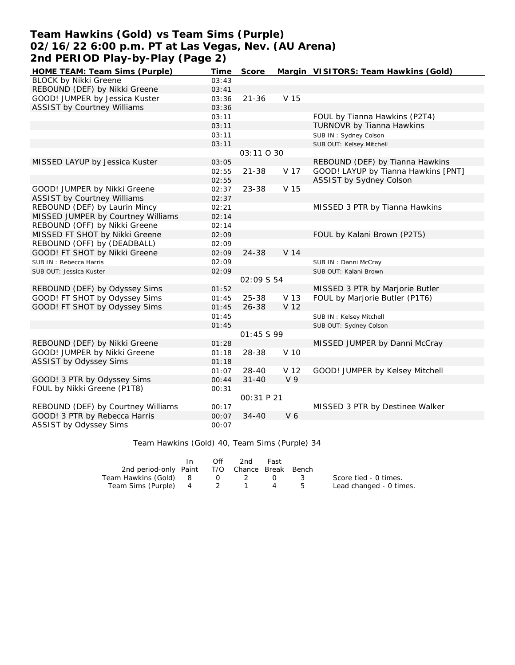### **Team Hawkins (Gold) vs Team Sims (Purple) 02/16/22 6:00 p.m. PT at Las Vegas, Nev. (AU Arena) 2nd PERIOD Play-by-Play (Page 2)**

| HOME TEAM: Team Sims (Purple)      | Time  | Score       |                 | Margin VISITORS: Team Hawkins (Gold) |
|------------------------------------|-------|-------------|-----------------|--------------------------------------|
| <b>BLOCK by Nikki Greene</b>       | 03:43 |             |                 |                                      |
| REBOUND (DEF) by Nikki Greene      | 03:41 |             |                 |                                      |
| GOOD! JUMPER by Jessica Kuster     | 03:36 | $21 - 36$   | V 15            |                                      |
| <b>ASSIST by Courtney Williams</b> | 03:36 |             |                 |                                      |
|                                    | 03:11 |             |                 | FOUL by Tianna Hawkins (P2T4)        |
|                                    | 03:11 |             |                 | TURNOVR by Tianna Hawkins            |
|                                    | 03:11 |             |                 | SUB IN: Sydney Colson                |
|                                    | 03:11 |             |                 | SUB OUT: Kelsey Mitchell             |
|                                    |       | 03:11 0 30  |                 |                                      |
| MISSED LAYUP by Jessica Kuster     | 03:05 |             |                 | REBOUND (DEF) by Tianna Hawkins      |
|                                    | 02:55 | $21 - 38$   | V 17            | GOOD! LAYUP by Tianna Hawkins [PNT]  |
|                                    | 02:55 |             |                 | ASSIST by Sydney Colson              |
| GOOD! JUMPER by Nikki Greene       | 02:37 | 23-38       | V 15            |                                      |
| <b>ASSIST by Courtney Williams</b> | 02:37 |             |                 |                                      |
| REBOUND (DEF) by Laurin Mincy      | 02:21 |             |                 | MISSED 3 PTR by Tianna Hawkins       |
| MISSED JUMPER by Courtney Williams | 02:14 |             |                 |                                      |
| REBOUND (OFF) by Nikki Greene      | 02:14 |             |                 |                                      |
| MISSED FT SHOT by Nikki Greene     | 02:09 |             |                 | FOUL by Kalani Brown (P2T5)          |
| REBOUND (OFF) by (DEADBALL)        | 02:09 |             |                 |                                      |
| GOOD! FT SHOT by Nikki Greene      | 02:09 | 24-38       | V <sub>14</sub> |                                      |
| SUB IN: Rebecca Harris             | 02:09 |             |                 | SUB IN: Danni McCray                 |
| SUB OUT: Jessica Kuster            | 02:09 |             |                 | SUB OUT: Kalani Brown                |
|                                    |       | 02:09 \$ 54 |                 |                                      |
| REBOUND (DEF) by Odyssey Sims      | 01:52 |             |                 | MISSED 3 PTR by Marjorie Butler      |
| GOOD! FT SHOT by Odyssey Sims      | 01:45 | $25 - 38$   | V 13            | FOUL by Marjorie Butler (P1T6)       |
| GOOD! FT SHOT by Odyssey Sims      | 01:45 | $26 - 38$   | V <sub>12</sub> |                                      |
|                                    | 01:45 |             |                 | SUB IN: Kelsey Mitchell              |
|                                    | 01:45 |             |                 | SUB OUT: Sydney Colson               |
|                                    |       | 01:45 \$99  |                 |                                      |
| REBOUND (DEF) by Nikki Greene      | 01:28 |             |                 | MISSED JUMPER by Danni McCray        |
| GOOD! JUMPER by Nikki Greene       | 01:18 | 28-38       | V 10            |                                      |
| ASSIST by Odyssey Sims             | 01:18 |             |                 |                                      |
|                                    | 01:07 | $28 - 40$   | V 12            | GOOD! JUMPER by Kelsey Mitchell      |
| GOOD! 3 PTR by Odyssey Sims        | 00:44 | $31 - 40$   | V <sub>9</sub>  |                                      |
| FOUL by Nikki Greene (P1T8)        | 00:31 |             |                 |                                      |
|                                    |       | 00:31 P 21  |                 |                                      |
| REBOUND (DEF) by Courtney Williams | 00:17 |             |                 | MISSED 3 PTR by Destinee Walker      |
| GOOD! 3 PTR by Rebecca Harris      | 00:07 | $34 - 40$   | V <sub>6</sub>  |                                      |
| ASSIST by Odyssey Sims             | 00:07 |             |                 |                                      |

#### Team Hawkins (Gold) 40, Team Sims (Purple) 34

|                                              | In. | Off | 2nd | Fast |                         |
|----------------------------------------------|-----|-----|-----|------|-------------------------|
| 2nd period-only Paint T/O Chance Break Bench |     |     |     |      |                         |
| Team Hawkins (Gold) 8 0 2 0 3                |     |     |     |      | Score tied - 0 times.   |
| Team Sims (Purple) 4 2 1                     |     |     |     |      | Lead changed - 0 times. |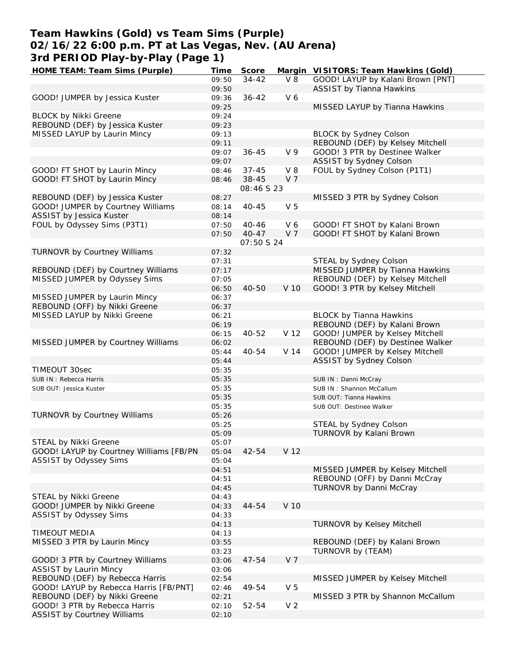## **Team Hawkins (Gold) vs Team Sims (Purple) 02/16/22 6:00 p.m. PT at Las Vegas, Nev. (AU Arena) 3rd PERIOD Play-by-Play (Page 1)**

| HOME TEAM: Team Sims (Purple)           | Time  | Score      |                | Margin VISITORS: Team Hawkins (Gold) |
|-----------------------------------------|-------|------------|----------------|--------------------------------------|
|                                         | 09:50 | $34 - 42$  | $V_8$          | GOOD! LAYUP by Kalani Brown [PNT]    |
|                                         | 09:50 |            |                | <b>ASSIST by Tianna Hawkins</b>      |
| GOOD! JUMPER by Jessica Kuster          | 09:36 | $36 - 42$  | V6             |                                      |
|                                         | 09:25 |            |                | MISSED LAYUP by Tianna Hawkins       |
| <b>BLOCK by Nikki Greene</b>            | 09:24 |            |                |                                      |
|                                         |       |            |                |                                      |
| REBOUND (DEF) by Jessica Kuster         | 09:23 |            |                |                                      |
| MISSED LAYUP by Laurin Mincy            | 09:13 |            |                | BLOCK by Sydney Colson               |
|                                         | 09:11 |            |                | REBOUND (DEF) by Kelsey Mitchell     |
|                                         | 09:07 | $36 - 45$  | V <sub>9</sub> | GOOD! 3 PTR by Destinee Walker       |
|                                         | 09:07 |            |                | ASSIST by Sydney Colson              |
| GOOD! FT SHOT by Laurin Mincy           | 08:46 | $37 - 45$  | V8             | FOUL by Sydney Colson (P1T1)         |
| GOOD! FT SHOT by Laurin Mincy           | 08:46 | $38 - 45$  | V <sub>7</sub> |                                      |
|                                         |       | 08:46 S 23 |                |                                      |
| REBOUND (DEF) by Jessica Kuster         | 08:27 |            |                | MISSED 3 PTR by Sydney Colson        |
|                                         |       |            |                |                                      |
| GOOD! JUMPER by Courtney Williams       | 08:14 | $40 - 45$  | V <sub>5</sub> |                                      |
| ASSIST by Jessica Kuster                | 08:14 |            |                |                                      |
| FOUL by Odyssey Sims (P3T1)             | 07:50 | $40 - 46$  | V6             | GOOD! FT SHOT by Kalani Brown        |
|                                         | 07:50 | $40 - 47$  | V 7            | GOOD! FT SHOT by Kalani Brown        |
|                                         |       | 07:50 S 24 |                |                                      |
| TURNOVR by Courtney Williams            | 07:32 |            |                |                                      |
|                                         | 07:31 |            |                | STEAL by Sydney Colson               |
| REBOUND (DEF) by Courtney Williams      | 07:17 |            |                | MISSED JUMPER by Tianna Hawkins      |
|                                         |       |            |                |                                      |
| MISSED JUMPER by Odyssey Sims           | 07:05 |            |                | REBOUND (DEF) by Kelsey Mitchell     |
|                                         | 06:50 | 40-50      | V 10           | GOOD! 3 PTR by Kelsey Mitchell       |
| MISSED JUMPER by Laurin Mincy           | 06:37 |            |                |                                      |
| REBOUND (OFF) by Nikki Greene           | 06:37 |            |                |                                      |
| MISSED LAYUP by Nikki Greene            | 06:21 |            |                | <b>BLOCK by Tianna Hawkins</b>       |
|                                         | 06:19 |            |                | REBOUND (DEF) by Kalani Brown        |
|                                         | 06:15 | $40 - 52$  | V 12           | GOOD! JUMPER by Kelsey Mitchell      |
| MISSED JUMPER by Courtney Williams      | 06:02 |            |                | REBOUND (DEF) by Destinee Walker     |
|                                         | 05:44 | 40-54      | V 14           | GOOD! JUMPER by Kelsey Mitchell      |
|                                         |       |            |                |                                      |
|                                         | 05:44 |            |                | ASSIST by Sydney Colson              |
| TIMEOUT 30sec                           | 05:35 |            |                |                                      |
| SUB IN: Rebecca Harris                  | 05:35 |            |                | SUB IN: Danni McCray                 |
| SUB OUT: Jessica Kuster                 | 05:35 |            |                | SUB IN: Shannon McCallum             |
|                                         | 05:35 |            |                | SUB OUT: Tianna Hawkins              |
|                                         | 05:35 |            |                | SUB OUT: Destinee Walker             |
| TURNOVR by Courtney Williams            | 05:26 |            |                |                                      |
|                                         | 05:25 |            |                | STEAL by Sydney Colson               |
|                                         | 05:09 |            |                | TURNOVR by Kalani Brown              |
| STEAL by Nikki Greene                   | 05:07 |            |                |                                      |
| GOOD! LAYUP by Courtney Williams [FB/PN | 05:04 | 42-54      | V 12           |                                      |
| ASSIST by Odyssey Sims                  | 05:04 |            |                |                                      |
|                                         |       |            |                |                                      |
|                                         | 04:51 |            |                | MISSED JUMPER by Kelsey Mitchell     |
|                                         | 04:51 |            |                | REBOUND (OFF) by Danni McCray        |
|                                         | 04:45 |            |                | TURNOVR by Danni McCray              |
| STEAL by Nikki Greene                   | 04:43 |            |                |                                      |
| GOOD! JUMPER by Nikki Greene            | 04:33 | 44-54      | V 10           |                                      |
| ASSIST by Odyssey Sims                  | 04:33 |            |                |                                      |
|                                         | 04:13 |            |                | <b>TURNOVR by Kelsey Mitchell</b>    |
| <b>TIMEOUT MEDIA</b>                    | 04:13 |            |                |                                      |
| MISSED 3 PTR by Laurin Mincy            | 03:55 |            |                | REBOUND (DEF) by Kalani Brown        |
|                                         | 03:23 |            |                | TURNOVR by (TEAM)                    |
|                                         |       |            |                |                                      |
| GOOD! 3 PTR by Courtney Williams        | 03:06 | $47 - 54$  | V <sub>7</sub> |                                      |
| <b>ASSIST by Laurin Mincy</b>           | 03:06 |            |                |                                      |
| REBOUND (DEF) by Rebecca Harris         | 02:54 |            |                | MISSED JUMPER by Kelsey Mitchell     |
| GOOD! LAYUP by Rebecca Harris [FB/PNT]  | 02:46 | 49-54      | V <sub>5</sub> |                                      |
| REBOUND (DEF) by Nikki Greene           | 02:21 |            |                | MISSED 3 PTR by Shannon McCallum     |
| GOOD! 3 PTR by Rebecca Harris           | 02:10 | 52-54      | V <sub>2</sub> |                                      |
| <b>ASSIST by Courtney Williams</b>      | 02:10 |            |                |                                      |
|                                         |       |            |                |                                      |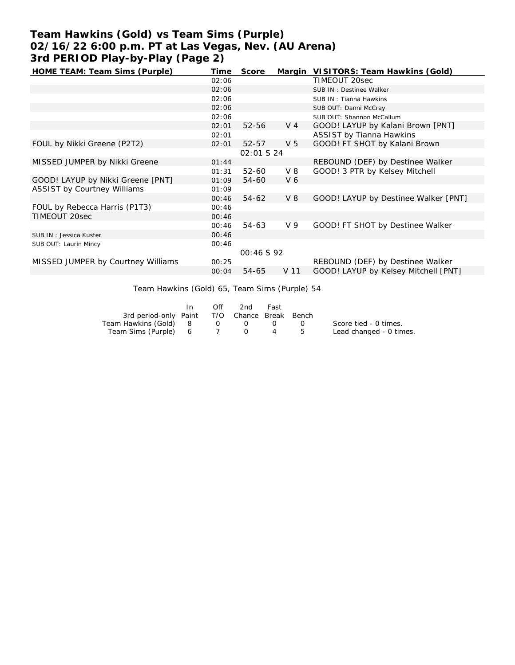# **Team Hawkins (Gold) vs Team Sims (Purple) 02/16/22 6:00 p.m. PT at Las Vegas, Nev. (AU Arena) 3rd PERIOD Play-by-Play (Page 2)**

| HOME TEAM: Team Sims (Purple)      | Time  | Score             |                | Margin VISITORS: Team Hawkins (Gold) |
|------------------------------------|-------|-------------------|----------------|--------------------------------------|
|                                    | 02:06 |                   |                | TIMEOUT 20sec                        |
|                                    | 02:06 |                   |                | SUB IN : Destinee Walker             |
|                                    | 02:06 |                   |                | SUB IN: Tianna Hawkins               |
|                                    | 02:06 |                   |                | SUB OUT: Danni McCray                |
|                                    | 02:06 |                   |                | SUB OUT: Shannon McCallum            |
|                                    | 02:01 | $52 - 56$         | V 4            | GOOD! LAYUP by Kalani Brown [PNT]    |
|                                    | 02:01 |                   |                | <b>ASSIST by Tianna Hawkins</b>      |
| FOUL by Nikki Greene (P2T2)        | 02:01 | $52 - 57$         | V <sub>5</sub> | GOOD! FT SHOT by Kalani Brown        |
|                                    |       | <i>02:01 S 24</i> |                |                                      |
| MISSED JUMPER by Nikki Greene      | 01:44 |                   |                | REBOUND (DEF) by Destinee Walker     |
|                                    | 01:31 | 52-60             | $V_8$          | GOOD! 3 PTR by Kelsey Mitchell       |
| GOOD! LAYUP by Nikki Greene [PNT]  | 01:09 | 54-60             | V <sub>6</sub> |                                      |
| <b>ASSIST by Courtney Williams</b> | 01:09 |                   |                |                                      |
|                                    | 00:46 | 54-62             | V8             | GOOD! LAYUP by Destinee Walker [PNT] |
| FOUL by Rebecca Harris (P1T3)      | 00:46 |                   |                |                                      |
| TIMEOUT 20sec                      | 00:46 |                   |                |                                      |
|                                    | 00:46 | 54-63             | V <sub>9</sub> | GOOD! FT SHOT by Destinee Walker     |
| SUB IN: Jessica Kuster             | 00:46 |                   |                |                                      |
| SUB OUT: Laurin Mincy              | 00:46 |                   |                |                                      |
|                                    |       | 00:46 S 92        |                |                                      |
| MISSED JUMPER by Courtney Williams | 00:25 |                   |                | REBOUND (DEF) by Destinee Walker     |
|                                    | 00:04 | 54-65             | V 11           | GOOD! LAYUP by Kelsey Mitchell [PNT] |

Team Hawkins (Gold) 65, Team Sims (Purple) 54

|                                              | In. | Off            | 2nd                                             | Fast |                  |                         |
|----------------------------------------------|-----|----------------|-------------------------------------------------|------|------------------|-------------------------|
| 3rd period-only Paint T/O Chance Break Bench |     |                |                                                 |      |                  |                         |
| Team Hawkins (Gold) 8                        |     | $\overline{O}$ | $\left( \begin{array}{c} 1 \end{array} \right)$ |      | $\left( \right)$ | Score tied - 0 times.   |
| Team Sims (Purple) 6 7 0                     |     |                |                                                 |      | 4 5              | Lead changed - 0 times. |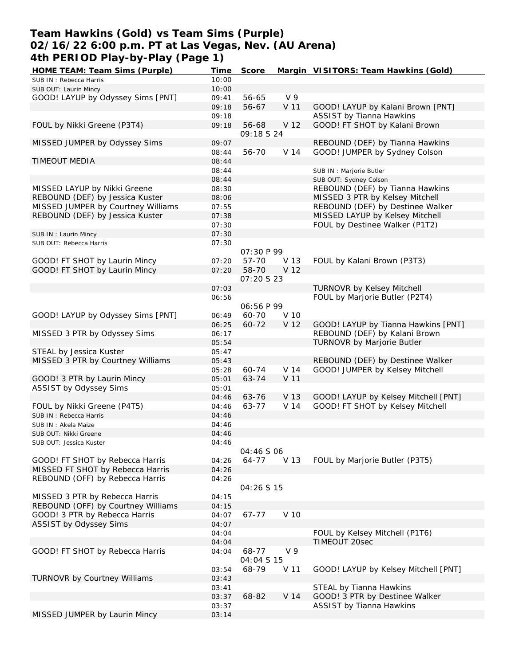### **Team Hawkins (Gold) vs Team Sims (Purple) 02/16/22 6:00 p.m. PT at Las Vegas, Nev. (AU Arena) 4th PERIOD Play-by-Play (Page 1)**

| HOME TEAM: Team Sims (Purple)      | Time  | Score             |                 | Margin VISITORS: Team Hawkins (Gold) |
|------------------------------------|-------|-------------------|-----------------|--------------------------------------|
| SUB IN: Rebecca Harris             | 10:00 |                   |                 |                                      |
| SUB OUT: Laurin Mincy              | 10:00 |                   |                 |                                      |
| GOOD! LAYUP by Odyssey Sims [PNT]  | 09:41 | 56-65             | V <sub>9</sub>  |                                      |
|                                    | 09:18 | 56-67             | V 11            | GOOD! LAYUP by Kalani Brown [PNT]    |
|                                    | 09:18 |                   |                 | <b>ASSIST by Tianna Hawkins</b>      |
| FOUL by Nikki Greene (P3T4)        | 09:18 | 56-68             | V 12            | GOOD! FT SHOT by Kalani Brown        |
|                                    |       | 09:18 S 24        |                 |                                      |
| MISSED JUMPER by Odyssey Sims      | 09:07 |                   |                 | REBOUND (DEF) by Tianna Hawkins      |
|                                    | 08:44 | 56-70             | V 14            | GOOD! JUMPER by Sydney Colson        |
| <b>TIMEOUT MEDIA</b>               | 08:44 |                   |                 |                                      |
|                                    |       |                   |                 |                                      |
|                                    | 08:44 |                   |                 | SUB IN : Marjorie Butler             |
|                                    | 08:44 |                   |                 | SUB OUT: Sydney Colson               |
| MISSED LAYUP by Nikki Greene       | 08:30 |                   |                 | REBOUND (DEF) by Tianna Hawkins      |
| REBOUND (DEF) by Jessica Kuster    | 08:06 |                   |                 | MISSED 3 PTR by Kelsey Mitchell      |
| MISSED JUMPER by Courtney Williams | 07:55 |                   |                 | REBOUND (DEF) by Destinee Walker     |
| REBOUND (DEF) by Jessica Kuster    | 07:38 |                   |                 | MISSED LAYUP by Kelsey Mitchell      |
|                                    | 07:30 |                   |                 | FOUL by Destinee Walker (P1T2)       |
| SUB IN: Laurin Mincy               | 07:30 |                   |                 |                                      |
| SUB OUT: Rebecca Harris            | 07:30 |                   |                 |                                      |
|                                    |       | <i>07:30 P 99</i> |                 |                                      |
| GOOD! FT SHOT by Laurin Mincy      | 07:20 | 57-70             | V 13            | FOUL by Kalani Brown (P3T3)          |
| GOOD! FT SHOT by Laurin Mincy      | 07:20 | 58-70             | V 12            |                                      |
|                                    |       | <i>07:20 S 23</i> |                 |                                      |
|                                    | 07:03 |                   |                 | TURNOVR by Kelsey Mitchell           |
|                                    | 06:56 |                   |                 | FOUL by Marjorie Butler (P2T4)       |
|                                    |       | 06:56 P 99        |                 |                                      |
| GOOD! LAYUP by Odyssey Sims [PNT]  | 06:49 | 60-70             | V 10            |                                      |
|                                    | 06:25 | 60-72             | V 12            | GOOD! LAYUP by Tianna Hawkins [PNT]  |
| MISSED 3 PTR by Odyssey Sims       | 06:17 |                   |                 | REBOUND (DEF) by Kalani Brown        |
|                                    | 05:54 |                   |                 | TURNOVR by Marjorie Butler           |
| STEAL by Jessica Kuster            | 05:47 |                   |                 |                                      |
| MISSED 3 PTR by Courtney Williams  | 05:43 |                   |                 | REBOUND (DEF) by Destinee Walker     |
|                                    | 05:28 |                   | V <sub>14</sub> |                                      |
|                                    |       | 60-74             |                 | GOOD! JUMPER by Kelsey Mitchell      |
| GOOD! 3 PTR by Laurin Mincy        | 05:01 | 63-74             | V 11            |                                      |
| ASSIST by Odyssey Sims             | 05:01 |                   |                 |                                      |
|                                    | 04:46 | 63-76             | V 13            | GOOD! LAYUP by Kelsey Mitchell [PNT] |
| FOUL by Nikki Greene (P4T5)        | 04:46 | 63-77             | V 14            | GOOD! FT SHOT by Kelsey Mitchell     |
| SUB IN: Rebecca Harris             | 04:46 |                   |                 |                                      |
| SUB IN: Akela Maize                | 04:46 |                   |                 |                                      |
| SUB OUT: Nikki Greene              | 04:46 |                   |                 |                                      |
| SUB OUT: Jessica Kuster            | 04:46 |                   |                 |                                      |
|                                    |       | 04:46 S 06        |                 |                                      |
| GOOD! FT SHOT by Rebecca Harris    | 04:26 | 64-77             | V 13            | FOUL by Marjorie Butler (P3T5)       |
| MISSED FT SHOT by Rebecca Harris   | 04:26 |                   |                 |                                      |
| REBOUND (OFF) by Rebecca Harris    | 04:26 |                   |                 |                                      |
|                                    |       | 04:26 S 15        |                 |                                      |
| MISSED 3 PTR by Rebecca Harris     | 04:15 |                   |                 |                                      |
| REBOUND (OFF) by Courtney Williams | 04:15 |                   |                 |                                      |
| GOOD! 3 PTR by Rebecca Harris      | 04:07 | 67-77             | V 10            |                                      |
| ASSIST by Odyssey Sims             | 04:07 |                   |                 |                                      |
|                                    | 04:04 |                   |                 | FOUL by Kelsey Mitchell (P1T6)       |
|                                    | 04:04 |                   |                 | TIMEOUT 20sec                        |
| GOOD! FT SHOT by Rebecca Harris    | 04:04 | 68-77             | V <sub>9</sub>  |                                      |
|                                    |       | 04:04 S 15        |                 |                                      |
|                                    | 03:54 | 68-79             | V 11            | GOOD! LAYUP by Kelsey Mitchell [PNT] |
| TURNOVR by Courtney Williams       | 03:43 |                   |                 |                                      |
|                                    | 03:41 |                   |                 | STEAL by Tianna Hawkins              |
|                                    | 03:37 | 68-82             | V 14            | GOOD! 3 PTR by Destinee Walker       |
|                                    | 03:37 |                   |                 | ASSIST by Tianna Hawkins             |
| MISSED JUMPER by Laurin Mincy      | 03:14 |                   |                 |                                      |
|                                    |       |                   |                 |                                      |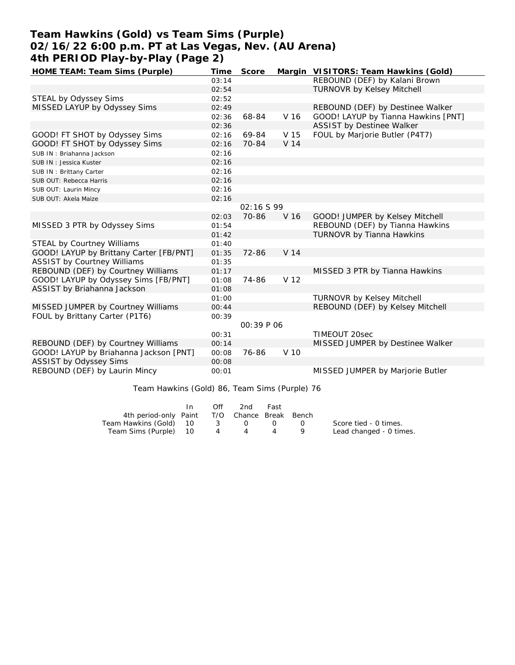## **Team Hawkins (Gold) vs Team Sims (Purple) 02/16/22 6:00 p.m. PT at Las Vegas, Nev. (AU Arena) 4th PERIOD Play-by-Play (Page 2)**

| Time  | Score |                | Margin VISITORS: Team Hawkins (Gold)                                                                             |
|-------|-------|----------------|------------------------------------------------------------------------------------------------------------------|
| 03:14 |       |                | REBOUND (DEF) by Kalani Brown                                                                                    |
| 02:54 |       |                | <b>TURNOVR by Kelsey Mitchell</b>                                                                                |
| 02:52 |       |                |                                                                                                                  |
| 02:49 |       |                | REBOUND (DEF) by Destinee Walker                                                                                 |
| 02:36 | 68-84 | V 16           | GOOD! LAYUP by Tianna Hawkins [PNT]                                                                              |
| 02:36 |       |                | ASSIST by Destinee Walker                                                                                        |
| 02:16 | 69-84 | V 15           | FOUL by Marjorie Butler (P4T7)                                                                                   |
| 02:16 | 70-84 | V 14           |                                                                                                                  |
| 02:16 |       |                |                                                                                                                  |
| 02:16 |       |                |                                                                                                                  |
| 02:16 |       |                |                                                                                                                  |
| 02:16 |       |                |                                                                                                                  |
| 02:16 |       |                |                                                                                                                  |
| 02:16 |       |                |                                                                                                                  |
|       |       |                |                                                                                                                  |
| 02:03 | 70-86 | V 16           | GOOD! JUMPER by Kelsey Mitchell                                                                                  |
| 01:54 |       |                | REBOUND (DEF) by Tianna Hawkins                                                                                  |
| 01:42 |       |                | TURNOVR by Tianna Hawkins                                                                                        |
| 01:40 |       |                |                                                                                                                  |
| 01:35 |       |                |                                                                                                                  |
| 01:35 |       |                |                                                                                                                  |
| 01:17 |       |                | MISSED 3 PTR by Tianna Hawkins                                                                                   |
| 01:08 | 74-86 |                |                                                                                                                  |
| 01:08 |       |                |                                                                                                                  |
| 01:00 |       |                | <b>TURNOVR by Kelsey Mitchell</b>                                                                                |
| 00:44 |       |                | REBOUND (DEF) by Kelsey Mitchell                                                                                 |
| 00:39 |       |                |                                                                                                                  |
|       |       |                |                                                                                                                  |
| 00:31 |       |                | TIMEOUT 20sec                                                                                                    |
| 00:14 |       |                | MISSED JUMPER by Destinee Walker                                                                                 |
| 00:08 |       |                |                                                                                                                  |
| 00:08 |       |                |                                                                                                                  |
| 00:01 |       |                | MISSED JUMPER by Marjorie Butler                                                                                 |
|       |       |                |                                                                                                                  |
|       |       | 72-86<br>76-86 | 02:16 S 99<br>V <sub>14</sub><br>V <sub>12</sub><br>00:39 P 06<br>V 10<br>T !! !! / Q ! !\ Q / T T C' (D ! \ J / |

Team Hawkins (Gold) 86, Team Sims (Purple) 76

|                                              | In. | Off            | 2nd | Fast |                         |
|----------------------------------------------|-----|----------------|-----|------|-------------------------|
| 4th period-only Paint T/O Chance Break Bench |     |                |     |      |                         |
| Team Hawkins (Gold) 10                       |     |                | 3 0 | (1)  | Score tied - 0 times.   |
| Team Sims (Purple) 10                        |     | $\overline{4}$ |     |      | Lead changed - 0 times. |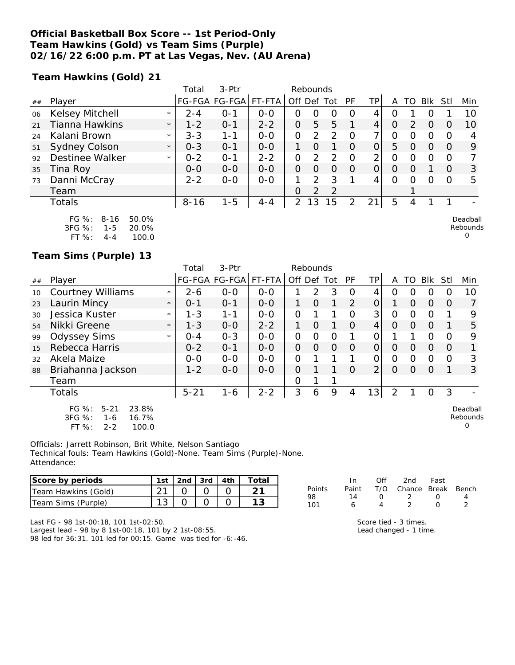#### **Official Basketball Box Score -- 1st Period-Only Team Hawkins (Gold) vs Team Sims (Purple) 02/16/22 6:00 p.m. PT at Las Vegas, Nev. (AU Arena)**

**Team Hawkins (Gold) 21**

|    |                        |         | Total    | $3-Ptr$       |         |                | Rebounds      |      |          |     |          |          |            |      |                          |
|----|------------------------|---------|----------|---------------|---------|----------------|---------------|------|----------|-----|----------|----------|------------|------|--------------------------|
| ## | Player                 |         |          | FG-FGA FG-FGA | FT-FTA  | Off Def        |               | Totl | PF       | TP. | Α        | TO       | <b>BIK</b> | Stll | Min                      |
| 06 | Kelsey Mitchell        | $\star$ | $2 - 4$  | 0-1           | $0 - 0$ | 0              | O             | 0    | O        | 4   | 0        |          | O          |      | 10                       |
| 21 | Tianna Hawkins         | $\star$ | $1 - 2$  | $O - 1$       | $2 - 2$ | O              | 5             | 5    |          | 4   | O        | 2        | $\Omega$   |      | 10                       |
| 24 | Kalani Brown           | $\star$ | $3 - 3$  | 1-1           | $0 - 0$ | 0              | 2             | 2    | $\Omega$ | 7,  | Ο        |          | O          |      |                          |
| 51 | Sydney Colson          | $\star$ | $0 - 3$  | $O - 1$       | $0 - 0$ | 1.             | $\Omega$      | 1    | O        | 0   | 5        | $\left($ | $\Omega$   | 0    | 9                        |
| 92 | Destinee Walker        | $\star$ | $0 - 2$  | $0 - 1$       | $2 - 2$ | O              | 2             | 2    | O        | 2   | O        | Ω        | O          |      |                          |
| 35 | Tina Roy               |         | $0 - 0$  | $0 - 0$       | $0 - 0$ | $\Omega$       | $\Omega$      | 0    | $\Omega$ | 0   | O        | $\left($ |            | 0    | 3                        |
| 73 | Danni McCray           |         | $2 - 2$  | $0 - 0$       | $O-O$   |                | $\mathcal{P}$ | 3    |          | 4   | $\Omega$ | Ω        | $\Omega$   | 0    | 5                        |
|    | Team                   |         |          |               |         | 0              | $\mathcal{P}$ | 2    |          |     |          |          |            |      |                          |
|    | Totals                 |         | $8 - 16$ | $1 - 5$       | $4 - 4$ | $\overline{2}$ | 3<br>1        | 5    | 2        | 21  | 5        | 4        |            |      | $\overline{\phantom{0}}$ |
|    | FG $\%: 8-16$<br>50.0% |         |          |               |         |                |               |      |          |     |          |          |            |      | Deadball                 |

| $FG \%$ : | 8-16    | 50.0% |
|-----------|---------|-------|
| 3FG %:    | 1-5     | 20.0% |
| $FT\%$ :  | $4 - 4$ | 100.0 |

### **Team Sims (Purple) 13**

|    |                                                                                           |         | Total    | 3-Ptr                |         |                | Rebounds      |          |          |                |          |          |          |                |                           |
|----|-------------------------------------------------------------------------------------------|---------|----------|----------------------|---------|----------------|---------------|----------|----------|----------------|----------|----------|----------|----------------|---------------------------|
| ## | Player                                                                                    |         |          | FG-FGA FG-FGA FT-FTA |         | Off Def        |               | Totl     | PF       | TPI            | A        | TO       | Blk      | Stll           | Min                       |
| 10 | <b>Courtney Williams</b>                                                                  | $\star$ | $2 - 6$  | $0 - 0$              | $0 - 0$ |                | $\mathcal{P}$ | 3        | Ω        | 4              | Ω        | O        | O        |                | 10                        |
| 23 | Laurin Mincy                                                                              | $\star$ | $0 - 1$  | $O - 1$              | $0-0$   |                | O             | 1        | 2        | $\overline{O}$ |          | O        | $\Omega$ | O              | $\overline{7}$            |
| 30 | Jessica Kuster                                                                            | $\star$ | $1 - 3$  | $1 - 1$              | $0 - 0$ | $\Omega$       |               | 1        | Ο        | 3 <sup>1</sup> | 0        | O        | $\Omega$ |                | 9                         |
| 54 | Nikki Greene                                                                              | $\star$ | $1 - 3$  | $0 - 0$              | $2 - 2$ | 1              | $\Omega$      | 1        | $\Omega$ | 4              | $\Omega$ | $\Omega$ | $\Omega$ |                | 5                         |
| 99 | <b>Odyssey Sims</b>                                                                       | $\star$ | $O - 4$  | $O - 3$              | $0 - 0$ | 0              | Ο             | 0        |          | 0              |          |          | 0        | O              | 9                         |
| 15 | Rebecca Harris                                                                            |         | $0 - 2$  | $O - 1$              | $0 - 0$ | $\Omega$       | $\Omega$      | $\Omega$ | $\Omega$ | 01             | O        | O        | $\Omega$ | 0              | 1                         |
| 32 | Akela Maize                                                                               |         | $0-0$    | $0-0$                | $0-0$   | $\overline{O}$ |               |          |          | 0              | 0        | O        | 0        | 0              | 3                         |
| 88 | Briahanna Jackson                                                                         |         | $1 - 2$  | $0 - 0$              | $0-0$   | $\Omega$       |               | 1        | $\Omega$ | 2 <sub>1</sub> | $\Omega$ | $\Omega$ | $\Omega$ | 1              | 3                         |
|    | Team                                                                                      |         |          |                      |         | 0              |               | 1        |          |                |          |          |          |                |                           |
|    | <b>Totals</b>                                                                             |         | $5 - 21$ | $1 - 6$              | $2 - 2$ | 3              | 6             | 9        | 4        | 131            | 2        |          | 0        | 3 <sub>l</sub> |                           |
|    | 23.8%<br>$FG \%$ :<br>$5 - 21$<br>3FG %:<br>16.7%<br>$1 - 6$<br>FT %:<br>100.0<br>$2 - 2$ |         |          |                      |         |                |               |          |          |                |          |          |          |                | Deadball<br>Rebounds<br>O |

Officials: Jarrett Robinson, Brit White, Nelson Santiago Technical fouls: Team Hawkins (Gold)-None. Team Sims (Purple)-None. Attendance:

| Score by periods    | 1st | 2nd $3rd$ $4th$ | Total |
|---------------------|-----|-----------------|-------|
| Team Hawkins (Gold) |     |                 |       |
| Team Sims (Purple)  |     |                 |       |

|        | In.   | ∩ff | 2nd                    | Fast             |   |
|--------|-------|-----|------------------------|------------------|---|
| Points | Paint |     | T/O Chance Break Bench |                  |   |
| 98     | 14    | O   | - 2                    | $\left( \right)$ | Δ |
| 101    | 6     |     |                        | $\left( \right)$ |   |

Rebounds 0

Last FG - 98 1st-00:18, 101 1st-02:50.

Largest lead - 98 by 8 1st-00:18, 101 by 2 1st-08:55. 98 led for 36:31. 101 led for 00:15. Game was tied for -6:-46.

| Score tied - 3 times.  |
|------------------------|
| Lead changed - 1 time. |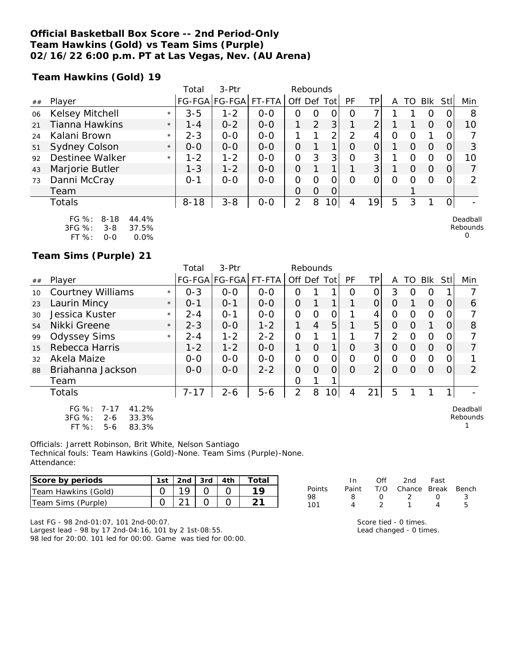#### **Official Basketball Box Score -- 2nd Period-Only Team Hawkins (Gold) vs Team Sims (Purple) 02/16/22 6:00 p.m. PT at Las Vegas, Nev. (AU Arena)**

**Team Hawkins (Gold) 19**

|    |                      |         | Total    | $3-Ptr$       |         | Rebounds       |                |      |    |                |   |          |            |      |          |
|----|----------------------|---------|----------|---------------|---------|----------------|----------------|------|----|----------------|---|----------|------------|------|----------|
| ## | Player               |         |          | FG-FGA FG-FGA | FT-FTA  | Off Def        |                | Totl | PF | TP             | Α | TO       | <b>BIK</b> | StII | Min      |
| 06 | Kelsey Mitchell      | $\star$ | $3 - 5$  | $1 - 2$       | $0 - 0$ | Ο              | O              | 0    | O  |                |   |          | O          |      | 8        |
| 21 | Tianna Hawkins       | $\star$ | $1 - 4$  | $0 - 2$       | $0 - 0$ |                | $\overline{2}$ | 3    |    | 2              |   |          | O          |      | 10       |
| 24 | Kalani Brown         | $\star$ | $2 - 3$  | $0 - 0$       | $0 - 0$ |                |                | 2    | っ  | 4              | Ο |          |            |      |          |
| 51 | <b>Sydney Colson</b> | $\star$ | $0 - 0$  | $0 - 0$       | $0 - 0$ | O              |                |      | O  | 0              |   | $\Omega$ | O          | 0    | 3        |
| 92 | Destinee Walker      | $\star$ | $1 - 2$  | $1 - 2$       | $0 - 0$ | O              | 3              | 3    | 0  | 3              |   | 0        | O          |      | 10       |
| 43 | Marjorie Butler      |         | $1 - 3$  | $1 - 2$       | $0 - 0$ | $\Omega$       |                |      |    | 3 <sup>1</sup> |   | $\Omega$ | $\Omega$   | 0    |          |
| 73 | Danni McCray         |         | $O - 1$  | $0 - 0$       | $0-0$   | O              | O              | 0    | O  | 0              | O | Ω        | $\Omega$   | 0    | ∍        |
|    | Team                 |         |          |               |         | 0              | $\Omega$       | 0    |    |                |   |          |            |      |          |
|    | Totals               |         | $8 - 18$ | $3 - 8$       | $O-O$   | $\overline{2}$ | 8              | 10   | 4  | 19             | 5 | 3        |            |      |          |
|    | FG %: 8-18<br>44.4%  |         |          |               |         |                |                |      |    |                |   |          |            |      | Deadball |

| $FG \%$ :  | 8-18    | 44.4%   |
|------------|---------|---------|
| $3FG \%$ : | $3 - 8$ | 37.5%   |
| FT $\%$ :  | ೧-೧     | $0.0\%$ |

**Team Sims (Purple) 21**

|    |                                                                                         |         | Total    | 3-Ptr                |         | Rebounds       |                |                 |           |          |          |          |          |          |                      |
|----|-----------------------------------------------------------------------------------------|---------|----------|----------------------|---------|----------------|----------------|-----------------|-----------|----------|----------|----------|----------|----------|----------------------|
| ## | Player                                                                                  |         |          | FG-FGA FG-FGA FT-FTA |         | Off Def Tot    |                |                 | <b>PF</b> | ΤP       | A        | TO       | Blk      | Stll     | Min                  |
| 10 | <b>Courtney Williams</b>                                                                | $\star$ | $0 - 3$  | $0 - 0$              | $0 - 0$ | 0              |                |                 | $\Omega$  | 0        | 3        | $\Omega$ | O        |          |                      |
| 23 | Laurin Mincy                                                                            | $\star$ | $O - 1$  | $O - 1$              | $O-O$   | $\Omega$       |                |                 |           | $\Omega$ | $\Omega$ |          | $\Omega$ | $\Omega$ | 6                    |
| 30 | Jessica Kuster                                                                          | $\star$ | $2 - 4$  | $O - 1$              | $0 - 0$ | $\Omega$       | 0              | 0               |           | 4        | $\Omega$ | 0        | $\Omega$ | 0        |                      |
| 54 | Nikki Greene                                                                            | $\star$ | $2 - 3$  | $0 - 0$              | $1 - 2$ |                | $\overline{4}$ | 5               |           | 5        | $\Omega$ | $\Omega$ |          | $\Omega$ | 8                    |
| 99 | <b>Odyssey Sims</b>                                                                     | $\star$ | $2 - 4$  | $1 - 2$              | $2 - 2$ | $\Omega$       |                |                 |           | 7        | 2        | $\Omega$ | $\Omega$ | 0        |                      |
| 15 | Rebecca Harris                                                                          |         | $1 - 2$  | $1 - 2$              | $0 - 0$ | 1.             | $\Omega$       | 1               | $\Omega$  | 3        | $\Omega$ | $\Omega$ | $\Omega$ | $\Omega$ | 7                    |
| 32 | Akela Maize                                                                             |         | $0 - 0$  | $0 - 0$              | $0 - 0$ | 0              | $\Omega$       | 0               | $\Omega$  | O        | $\Omega$ | $\Omega$ | $\Omega$ | 0        |                      |
| 88 | Briahanna Jackson                                                                       |         | $0 - 0$  | $0 - 0$              | $2 - 2$ | $\Omega$       | $\Omega$       | $\Omega$        | $\Omega$  | 2        | $\Omega$ | $\Omega$ | $\Omega$ | $\Omega$ | 2                    |
|    | Team                                                                                    |         |          |                      |         | O              |                |                 |           |          |          |          |          |          |                      |
|    | Totals                                                                                  |         | $7 - 17$ | $2 - 6$              | $5 - 6$ | $\overline{2}$ | 8              | 10 <sup>1</sup> | 4         | 21       | 5        |          |          | 1        |                      |
|    | $FG \%$ :<br>$7 - 17$<br>41.2%<br>3FG %:<br>33.3%<br>$2 - 6$<br>FT %:<br>83.3%<br>$5-6$ |         |          |                      |         |                |                |                 |           |          |          |          |          |          | Deadball<br>Rebounds |

Officials: Jarrett Robinson, Brit White, Nelson Santiago Technical fouls: Team Hawkins (Gold)-None. Team Sims (Purple)-None. Attendance:

| Score by periods    | 1st | 2nd $\sqrt{3}$ 3rd $\sqrt{4}$ 4th | Total |
|---------------------|-----|-----------------------------------|-------|
| Team Hawkins (Gold) |     |                                   |       |
| Team Sims (Purple)  |     |                                   |       |

|        | In.   | ∩ff        | 2nd                    | - Fast           |     |
|--------|-------|------------|------------------------|------------------|-----|
| Points | Paint |            | T/O Chance Break Bench |                  |     |
| 98     | x     | $^{\circ}$ | - 2                    | $\left( \right)$ | - 3 |
| 101    |       |            |                        | Δ                | ь   |

Rebounds 0

Last FG - 98 2nd-01:07, 101 2nd-00:07.

Largest lead - 98 by 17 2nd-04:16, 101 by 2 1st-08:55. 98 led for 20:00. 101 led for 00:00. Game was tied for 00:00.

| Score tied - 0 times.   |
|-------------------------|
| Lead changed - 0 times. |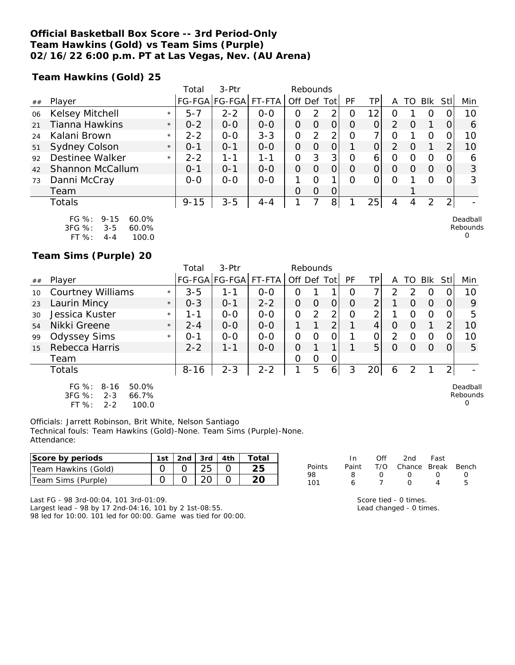#### **Official Basketball Box Score -- 3rd Period-Only Team Hawkins (Gold) vs Team Sims (Purple) 02/16/22 6:00 p.m. PT at Las Vegas, Nev. (AU Arena)**

**Team Hawkins (Gold) 25**

|    |                                   | Total              | 3-Ptr         |         |             | Rebounds |          |          |                 |   |          |          |                |     |
|----|-----------------------------------|--------------------|---------------|---------|-------------|----------|----------|----------|-----------------|---|----------|----------|----------------|-----|
| ## | Player                            |                    | FG-FGA FG-FGA | FT-FTA  | Off Def Tot |          |          | PF       | TP <sub>I</sub> | A | TO       | Blk      | Stll           | Min |
| 06 | <b>Kelsey Mitchell</b><br>$\star$ | $5 - 7$            | $2 - 2$       | $0 - 0$ | 0           | 2        | 2        | Ο        | 12              |   |          |          |                | 10  |
| 21 | Tianna Hawkins                    | $0 - 2$<br>$\star$ | $0 - 0$       | $0 - 0$ | O           | $\Omega$ | O        | $\Omega$ | 0               | 2 | $\Omega$ |          |                | 6   |
| 24 | Kalani Brown                      | $2 - 2$<br>$\star$ | $O-O$         | $3 - 3$ | O           | 2        | 2        | $\Omega$ |                 | 0 |          |          |                | 10  |
| 51 | <b>Sydney Colson</b>              | $0 - 1$<br>$\star$ | $O - 1$       | $0 - 0$ | O           | $\Omega$ | O        |          |                 | 2 | O        |          |                | 10  |
| 92 | Destinee Walker                   | $2 - 2$<br>$\star$ | $1 - 1$       | $1 - 1$ | 0           | 3        | 3        | $\Omega$ | 6               | 0 | Ω        | Ω        |                | 6   |
| 42 | Shannon McCallum                  | $0 - 1$            | $0 - 1$       | $0 - 0$ | O           | $\Omega$ | 0        | $\Omega$ | 0               | 0 | O        | $\Omega$ | $\Omega$       | 3   |
| 73 | Danni McCray                      | $0 - 0$            | $0 - 0$       | $0 - 0$ |             | Ω        |          | Ω        |                 | Ω |          | Ω        |                | 3   |
|    | Team                              |                    |               |         | 0           | $\Omega$ | $\Omega$ |          |                 |   |          |          |                |     |
|    | Totals                            | $9 - 15$           | $3 - 5$       | $4 - 4$ |             |          | 8        |          | 25              | 4 | 4        | 2        | $\overline{2}$ |     |
|    |                                   |                    |               |         |             |          |          |          |                 |   |          |          |                |     |

| $FG \%$ :  | $9 - 15$ | $60.0\%$ |
|------------|----------|----------|
| $3FG \%$ : | $3 - 5$  | $60.0\%$ |
| FT $\%$ :  | $4 - 4$  | 100.0    |

**Team Sims (Purple) 20**

|    |                                                                                        |         | Total    | 3-Ptr                 |         | Rebounds    |               |                |          |                 |               |    |          |     |                                  |
|----|----------------------------------------------------------------------------------------|---------|----------|-----------------------|---------|-------------|---------------|----------------|----------|-----------------|---------------|----|----------|-----|----------------------------------|
| ## | Player                                                                                 |         |          | FG-FGA FG-FGA  FT-FTA |         | Off Def Tot |               |                | PF       | ΤP              | A             | TO | Blk      | Stl | Min                              |
| 10 | <b>Courtney Williams</b>                                                               | $\star$ | $3 - 5$  | 1-1                   | $0 - 0$ | Ο           |               |                | Ω        |                 | $\mathcal{P}$ | 2  | 0        |     | 10                               |
| 23 | Laurin Mincy                                                                           | $\star$ | $0 - 3$  | $O - 1$               | $2 - 2$ | O           | O             |                | $\Omega$ | $\overline{2}$  |               | 0  | $\Omega$ |     | 9                                |
| 30 | Jessica Kuster                                                                         | $\star$ | 1-1      | $0 - 0$               | $0 - 0$ | 0           | $\mathcal{P}$ | 2 <sub>1</sub> | Ω        | ⌒               |               | 0  | 0        |     | 5                                |
| 54 | Nikki Greene                                                                           | $\star$ | $2 - 4$  | $0 - 0$               | $0 - 0$ |             |               | ⌒              |          | 4               | 0             | 0  |          | っ   | 10                               |
| 99 | <b>Odyssey Sims</b>                                                                    | $\star$ | $O - 1$  | $0 - 0$               | $0 - 0$ | Ο           | 0             |                |          | 0               | 2             | O  | 0        |     | 10                               |
| 15 | Rebecca Harris                                                                         |         | $2 - 2$  | $1 - 1$               | $0 - 0$ | 0           |               |                |          | 5               | $\Omega$      | 0  | $\Omega$ |     | 5                                |
|    | Team                                                                                   |         |          |                       |         | Ο           | 0             | 0              |          |                 |               |    |          |     |                                  |
|    | Totals                                                                                 |         | $8 - 16$ | $2 - 3$               | $2 - 2$ |             | 5             | 6              | 3        | 20 <sup>1</sup> | 6             | 2  |          | 2   |                                  |
|    | FG $%$ :<br>$8 - 16$<br>50.0%<br>3FG %:<br>$2 - 3$<br>66.7%<br>FT%<br>$2 - 2$<br>100.0 |         |          |                       |         |             |               |                |          |                 |               |    |          |     | Deadball<br>Rebounds<br>$\Omega$ |

Officials: Jarrett Robinson, Brit White, Nelson Santiago Technical fouls: Team Hawkins (Gold)-None. Team Sims (Purple)-None. Attendance:

| Score by periods    | 1st i | ำnd . | 3rd      | 4th | Total |           | In    | Of' | 2nd    | Fast  |       |
|---------------------|-------|-------|----------|-----|-------|-----------|-------|-----|--------|-------|-------|
| Team Hawkins (Gold) |       |       | つに<br>∠◡ |     | つに    | Points    | Paint | T/C | Chance | Break | Bench |
| Team Sims (Purple)  |       |       |          |     | ົດ    | 98<br>101 |       |     |        |       |       |

Last FG - 98 3rd-00:04, 101 3rd-01:09. Largest lead - 98 by 17 2nd-04:16, 101 by 2 1st-08:55. 98 led for 10:00. 101 led for 00:00. Game was tied for 00:00.

Score tied - 0 times. Lead changed - 0 times.

Deadball Rebounds 0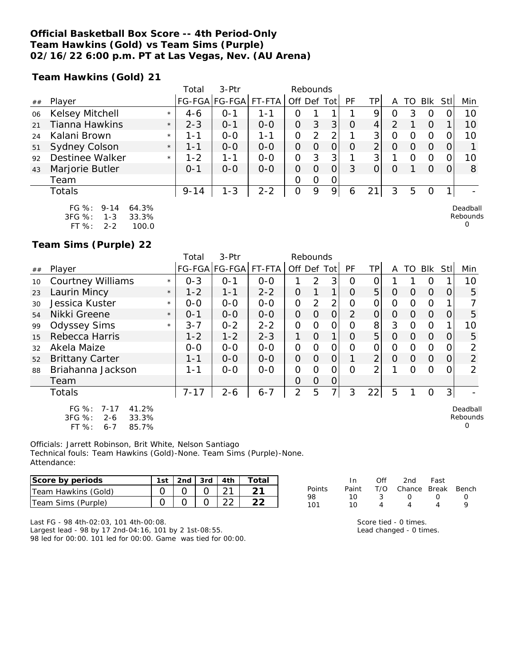#### **Official Basketball Box Score -- 4th Period-Only Team Hawkins (Gold) vs Team Sims (Purple) 02/16/22 6:00 p.m. PT at Las Vegas, Nev. (AU Arena)**

**Team Hawkins (Gold) 21**

|    |                        |         | Total    | 3-Ptr                |         | Rebounds       |          |          |          |     |          |    |                |     |          |
|----|------------------------|---------|----------|----------------------|---------|----------------|----------|----------|----------|-----|----------|----|----------------|-----|----------|
| ## | Player                 |         |          | FG-FGA FG-FGA FT-FTA |         | Off Def Tot    |          |          | PF       | TPI | А        | TO | <b>Blk</b>     | Stl | Min      |
| 06 | <b>Kelsey Mitchell</b> | $\star$ | $4-6$    | $0 - 1$              | $1 - 1$ |                |          |          |          | 9   |          | 3  |                |     | 10       |
| 21 | <b>Tianna Hawkins</b>  | $\star$ | $2 - 3$  | $0 - 1$              | $0-0$   | $\overline{O}$ | 3        | 3        | $\Omega$ | 4   |          |    | $\overline{O}$ |     | 10       |
| 24 | Kalani Brown           | $\star$ | 1 - 1    | $0 - 0$              | 1 - 1   | 0              | 2        | 2        |          | 3   |          |    |                |     | 10       |
| 51 | Sydney Colson          | $\star$ | $1 - 1$  | $0 - 0$              | $0 - 0$ | O              | O        |          | $\Omega$ | 2   |          |    | $\Omega$       |     |          |
| 92 | Destinee Walker        | $\star$ | $1 - 2$  | $1 - 1$              | $0 - 0$ | 0              | 3        | 3        |          | 3   |          |    |                |     | 10       |
| 43 | Marjorie Butler        |         | $O - 1$  | $0 - 0$              | $0 - 0$ | $\Omega$       | $\Omega$ | $\Omega$ | 3        |     | $\Omega$ |    | $\Omega$       |     | 8        |
|    | Team                   |         |          |                      |         | Ω              | $\Omega$ | 0        |          |     |          |    |                |     |          |
|    | Totals                 |         | $9 - 14$ | $1 - 3$              | $2 - 2$ | 0              | 9        | 9        | 6        | 21  | 3        | 5  | $\Omega$       |     |          |
|    | FG %:<br>64.3%<br>9-14 |         |          |                      |         |                |          |          |          |     |          |    |                |     | Deadball |

3FG %: 1-3 33.3% FT %: 2-2 100.0 Rebounds

 $\Omega$ 

**Team Sims (Purple) 22**

|    |                                                                                           |         | Total    | 3-Ptr         |         | Rebounds       |                |                |          |                |                |                |                |            |                           |
|----|-------------------------------------------------------------------------------------------|---------|----------|---------------|---------|----------------|----------------|----------------|----------|----------------|----------------|----------------|----------------|------------|---------------------------|
| ## | Player                                                                                    |         |          | FG-FGA FG-FGA | FT-FTA  | Off Def        |                | Totl           | PF       | ΤP             | A              | TO             | Blk            | <b>Stl</b> | Min                       |
| 10 | <b>Courtney Williams</b>                                                                  | $\star$ | $0 - 3$  | $O - 1$       | $0 - 0$ |                | $\overline{2}$ | 3              | 0        | 0              |                |                | 0              |            | 10                        |
| 23 | Laurin Mincy                                                                              | $\star$ | $1 - 2$  | $1 - 1$       | $2 - 2$ | $\Omega$       |                |                | $\Omega$ | 5              | $\Omega$       | $\overline{O}$ | $\overline{O}$ | $\Omega$   | 5                         |
| 30 | Jessica Kuster                                                                            | $\star$ | $0 - 0$  | $0 - 0$       | $0 - 0$ | 0              | 2              | 2              | O        | O              | 0              | $\Omega$       | $\Omega$       |            |                           |
| 54 | Nikki Greene                                                                              | $\star$ | $O - 1$  | $0 - 0$       | $0-0$   | $\overline{O}$ | $\Omega$       | $\Omega$       | 2        | $\overline{O}$ | $\overline{O}$ | $\Omega$       | $\Omega$       | 0          | 5                         |
| 99 | <b>Odyssey Sims</b>                                                                       | $\star$ | $3 - 7$  | $0 - 2$       | $2 - 2$ | 0              | $\Omega$       | 0              | O        | 8              | 3              | $\Omega$       | $\Omega$       | 1          | 10                        |
| 15 | Rebecca Harris                                                                            |         | $1 - 2$  | $1 - 2$       | $2 - 3$ |                | $\Omega$       |                | $\Omega$ | 5              | $\Omega$       | $\Omega$       | $\Omega$       | $\Omega$   | 5                         |
| 32 | Akela Maize                                                                               |         | $0 - 0$  | $0 - 0$       | $0-0$   | $\Omega$       | $\Omega$       | $\Omega$       | O        | 0              | $\mathcal{O}$  | $\Omega$       | $\Omega$       | 0          | $\overline{2}$            |
| 52 | <b>Brittany Carter</b>                                                                    |         | $1 - 1$  | $0 - 0$       | $0 - 0$ | $\overline{O}$ | $\Omega$       | $\overline{O}$ |          | $\overline{2}$ | $\Omega$       | $\overline{O}$ | $\overline{O}$ | 0          | $\overline{2}$            |
| 88 | Briahanna Jackson                                                                         |         | $1 - 1$  | $0 - 0$       | $0 - 0$ | $\Omega$       | $\Omega$       | $\Omega$       | $\Omega$ | 2              | 1              | $\Omega$       | $\Omega$       | 0          | 2                         |
|    | Team                                                                                      |         |          |               |         | $\Omega$       | $\Omega$       | $\Omega$       |          |                |                |                |                |            |                           |
|    | Totals                                                                                    |         | $7 - 17$ | $2 - 6$       | $6 - 7$ | $\overline{2}$ | 5              |                | 3        | 22             | 5              |                | $\Omega$       | 3          |                           |
|    | $FG \%$ :<br>$7 - 17$<br>41.2%<br>3FG %:<br>33.3%<br>$2 - 6$<br>FT %:<br>85.7%<br>$6 - 7$ |         |          |               |         |                |                |                |          |                |                |                |                |            | Deadball<br>Rebounds<br>Ω |

Officials: Jarrett Robinson, Brit White, Nelson Santiago Technical fouls: Team Hawkins (Gold)-None. Team Sims (Purple)-None. Attendance:

| Score by periods    | 1st | 2nd | 3rd   4th | Total |
|---------------------|-----|-----|-----------|-------|
| Team Hawkins (Gold) |     |     |           |       |
| Team Sims (Purple)  |     |     |           |       |

|     |  | In Off 2nd Fast                     |   |
|-----|--|-------------------------------------|---|
|     |  | Points Paint T/O Chance Break Bench |   |
| 98. |  | $10 \t 3 \t 0 \t 0$                 | O |

| Score tied - 0 times.                                                                   |  |
|-----------------------------------------------------------------------------------------|--|
| $1$ and abong $\alpha$ $\alpha$ $\beta$ $\beta$ $\beta$ $\beta$ $\beta$ $\beta$ $\beta$ |  |

101 10 4 4 4 9

Points<br>98

Lead changed - 0 times.

Last FG - 98 4th-02:03, 101 4th-00:08.

Largest lead - 98 by 17 2nd-04:16, 101 by 2 1st-08:55. 98 led for 00:00. 101 led for 00:00. Game was tied for 00:00.